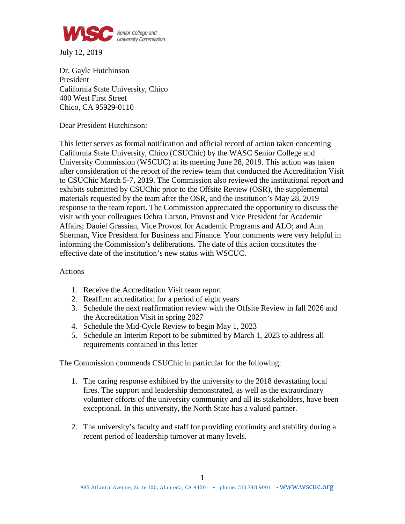

July 12, 2019

Dr. Gayle Hutchinson President California State University, Chico 400 West First Street Chico, CA 95929-0110

Dear President Hutchinson:

This letter serves as formal notification and official record of action taken concerning California State University, Chico (CSUChic) by the WASC Senior College and University Commission (WSCUC) at its meeting June 28, 2019. This action was taken after consideration of the report of the review team that conducted the Accreditation Visit to CSUChic March 5-7, 2019. The Commission also reviewed the institutional report and exhibits submitted by CSUChic prior to the Offsite Review (OSR), the supplemental materials requested by the team after the OSR, and the institution's May 28, 2019 response to the team report. The Commission appreciated the opportunity to discuss the visit with your colleagues Debra Larson, Provost and Vice President for Academic Affairs; Daniel Grassian, Vice Provost for Academic Programs and ALO; and Ann Sherman, Vice President for Business and Finance*.* Your comments were very helpful in informing the Commission's deliberations. The date of this action constitutes the effective date of the institution's new status with WSCUC.

## Actions

- 1. Receive the Accreditation Visit team report
- 2. Reaffirm accreditation for a period of eight years
- 3. Schedule the next reaffirmation review with the Offsite Review in fall 2026 and the Accreditation Visit in spring 2027
- 4. Schedule the Mid-Cycle Review to begin May 1, 2023
- 5. Schedule an Interim Report to be submitted by March 1, 2023 to address all requirements contained in this letter

The Commission commends CSUChic in particular for the following:

- 1. The caring response exhibited by the university to the 2018 devastating local fires. The support and leadership demonstrated, as well as the extraordinary volunteer efforts of the university community and all its stakeholders, have been exceptional. In this university, the North State has a valued partner.
- 2. The university's faculty and staff for providing continuity and stability during a recent period of leadership turnover at many levels.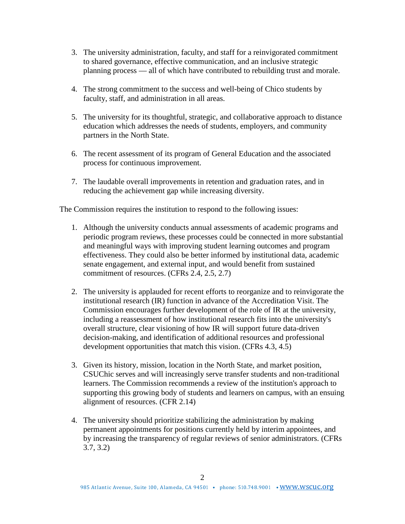- 3. The university administration, faculty, and staff for a reinvigorated commitment to shared governance, effective communication, and an inclusive strategic planning process — all of which have contributed to rebuilding trust and morale.
- 4. The strong commitment to the success and well-being of Chico students by faculty, staff, and administration in all areas.
- 5. The university for its thoughtful, strategic, and collaborative approach to distance education which addresses the needs of students, employers, and community partners in the North State.
- 6. The recent assessment of its program of General Education and the associated process for continuous improvement.
- 7. The laudable overall improvements in retention and graduation rates, and in reducing the achievement gap while increasing diversity.

The Commission requires the institution to respond to the following issues:

- 1. Although the university conducts annual assessments of academic programs and periodic program reviews, these processes could be connected in more substantial and meaningful ways with improving student learning outcomes and program effectiveness. They could also be better informed by institutional data, academic senate engagement, and external input, and would benefit from sustained commitment of resources. (CFRs 2.4, 2.5, 2.7)
- 2. The university is applauded for recent efforts to reorganize and to reinvigorate the institutional research (IR) function in advance of the Accreditation Visit. The Commission encourages further development of the role of IR at the university, including a reassessment of how institutional research fits into the university's overall structure, clear visioning of how IR will support future data-driven decision-making, and identification of additional resources and professional development opportunities that match this vision. (CFRs 4.3, 4.5)
- 3. Given its history, mission, location in the North State, and market position, CSUChic serves and will increasingly serve transfer students and non-traditional learners. The Commission recommends a review of the institution's approach to supporting this growing body of students and learners on campus, with an ensuing alignment of resources. (CFR 2.14)
- 4. The university should prioritize stabilizing the administration by making permanent appointments for positions currently held by interim appointees, and by increasing the transparency of regular reviews of senior administrators. (CFRs 3.7, 3.2)